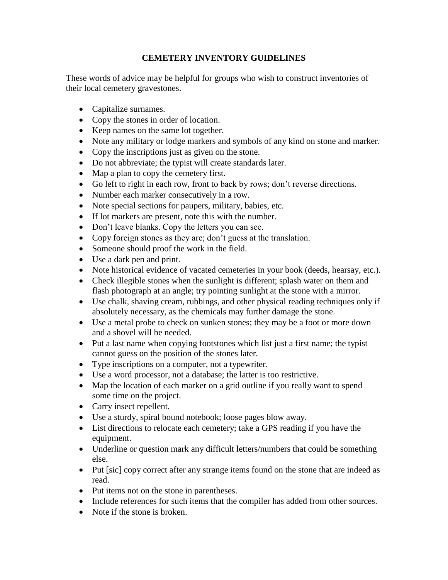## **CEMETERY INVENTORY GUIDELINES**

These words of advice may be helpful for groups who wish to construct inventories of their local cemetery gravestones.

- Capitalize surnames.
- Copy the stones in order of location.
- Keep names on the same lot together.
- Note any military or lodge markers and symbols of any kind on stone and marker.
- Copy the inscriptions just as given on the stone.
- Do not abbreviate; the typist will create standards later.
- Map a plan to copy the cemetery first.
- Go left to right in each row, front to back by rows; don't reverse directions.
- Number each marker consecutively in a row.
- Note special sections for paupers, military, babies, etc.
- If lot markers are present, note this with the number.
- Don't leave blanks. Copy the letters you can see.
- Copy foreign stones as they are; don't guess at the translation.
- Someone should proof the work in the field.
- Use a dark pen and print.
- Note historical evidence of vacated cemeteries in your book (deeds, hearsay, etc.).
- Check illegible stones when the sunlight is different; splash water on them and flash photograph at an angle; try pointing sunlight at the stone with a mirror.
- Use chalk, shaving cream, rubbings, and other physical reading techniques only if absolutely necessary, as the chemicals may further damage the stone.
- Use a metal probe to check on sunken stones; they may be a foot or more down and a shovel will be needed.
- Put a last name when copying footstones which list just a first name; the typist cannot guess on the position of the stones later.
- Type inscriptions on a computer, not a typewriter.
- Use a word processor, not a database; the latter is too restrictive.
- Map the location of each marker on a grid outline if you really want to spend some time on the project.
- Carry insect repellent.
- Use a sturdy, spiral bound notebook; loose pages blow away.
- List directions to relocate each cemetery; take a GPS reading if you have the equipment.
- Underline or question mark any difficult letters/numbers that could be something else.
- Put [sic] copy correct after any strange items found on the stone that are indeed as read.
- Put items not on the stone in parentheses.
- Include references for such items that the compiler has added from other sources.
- Note if the stone is broken.